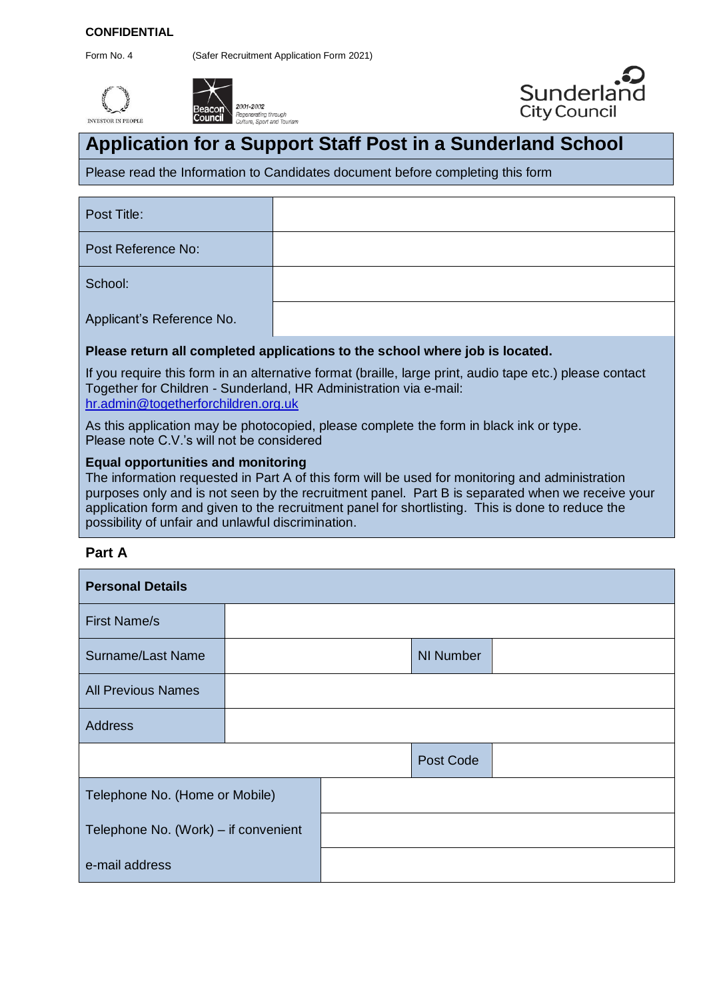#### **CONFIDENTIAL**

Form No. 4 (Safer Recruitment Application Form 2021)







# **Application for a Support Staff Post in a Sunderland School**

Please read the Information to Candidates document before completing this form

Post Title:

Post Reference No:

School:

Applicant's Reference No.

# **Please return all completed applications to the school where job is located.**

If you require this form in an alternative format (braille, large print, audio tape etc.) please contact Together for Children - Sunderland, HR Administration via e-mail: hr.admin@togetherforchildren.org.uk

As this application may be photocopied, please complete the form in black ink or type. Please note C.V.'s will not be considered

## **Equal opportunities and monitoring**

The information requested in Part A of this form will be used for monitoring and administration purposes only and is not seen by the recruitment panel. Part B is separated when we receive your application form and given to the recruitment panel for shortlisting. This is done to reduce the possibility of unfair and unlawful discrimination.

## **Part A**

| <b>Personal Details</b>              |  |  |                  |  |  |
|--------------------------------------|--|--|------------------|--|--|
| <b>First Name/s</b>                  |  |  |                  |  |  |
| <b>Surname/Last Name</b>             |  |  | <b>NI Number</b> |  |  |
| <b>All Previous Names</b>            |  |  |                  |  |  |
| <b>Address</b>                       |  |  |                  |  |  |
|                                      |  |  | Post Code        |  |  |
| Telephone No. (Home or Mobile)       |  |  |                  |  |  |
| Telephone No. (Work) – if convenient |  |  |                  |  |  |
| e-mail address                       |  |  |                  |  |  |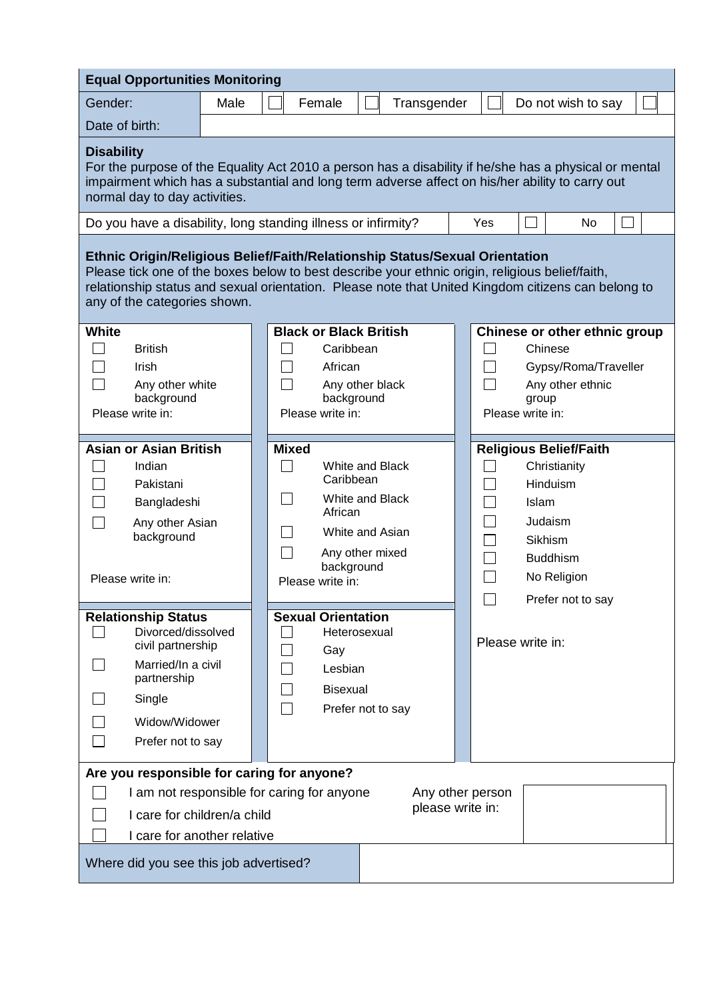| <b>Equal Opportunities Monitoring</b>                                                                                                                                                                                                                                                                                |      |              |                                                                                                                                                                                        |  |             |  |                                                        |       |                                                                                                                                        |  |
|----------------------------------------------------------------------------------------------------------------------------------------------------------------------------------------------------------------------------------------------------------------------------------------------------------------------|------|--------------|----------------------------------------------------------------------------------------------------------------------------------------------------------------------------------------|--|-------------|--|--------------------------------------------------------|-------|----------------------------------------------------------------------------------------------------------------------------------------|--|
| Gender:                                                                                                                                                                                                                                                                                                              | Male |              | Female                                                                                                                                                                                 |  | Transgender |  |                                                        |       | Do not wish to say                                                                                                                     |  |
| Date of birth:                                                                                                                                                                                                                                                                                                       |      |              |                                                                                                                                                                                        |  |             |  |                                                        |       |                                                                                                                                        |  |
| <b>Disability</b><br>For the purpose of the Equality Act 2010 a person has a disability if he/she has a physical or mental<br>impairment which has a substantial and long term adverse affect on his/her ability to carry out<br>normal day to day activities.                                                       |      |              |                                                                                                                                                                                        |  |             |  |                                                        |       |                                                                                                                                        |  |
| Yes<br>No<br>Do you have a disability, long standing illness or infirmity?                                                                                                                                                                                                                                           |      |              |                                                                                                                                                                                        |  |             |  |                                                        |       |                                                                                                                                        |  |
| Ethnic Origin/Religious Belief/Faith/Relationship Status/Sexual Orientation<br>Please tick one of the boxes below to best describe your ethnic origin, religious belief/faith,<br>relationship status and sexual orientation. Please note that United Kingdom citizens can belong to<br>any of the categories shown. |      |              |                                                                                                                                                                                        |  |             |  |                                                        |       |                                                                                                                                        |  |
| <b>White</b>                                                                                                                                                                                                                                                                                                         |      |              | <b>Black or Black British</b>                                                                                                                                                          |  |             |  |                                                        |       | Chinese or other ethnic group                                                                                                          |  |
| <b>British</b><br>Irish<br>Any other white<br>background<br>Please write in:                                                                                                                                                                                                                                         |      |              | Caribbean<br>African<br>Any other black<br>background<br>Please write in:                                                                                                              |  |             |  | $\Box$<br>$\blacksquare$<br>$\Box$<br>Please write in: | group | Chinese<br>Gypsy/Roma/Traveller<br>Any other ethnic                                                                                    |  |
| <b>Asian or Asian British</b><br>Indian<br>Pakistani<br>Bangladeshi<br>Any other Asian<br>background<br>Please write in:<br><b>Relationship Status</b><br>Divorced/dissolved<br>civil partnership                                                                                                                    |      | <b>Mixed</b> | White and Black<br>Caribbean<br>White and Black<br>African<br>White and Asian<br>Any other mixed<br>background<br>Please write in:<br><b>Sexual Orientation</b><br>Heterosexual<br>Gay |  |             |  | $\sim$<br>$\sim$<br>Please write in:                   | Islam | <b>Religious Belief/Faith</b><br>Christianity<br>Hinduism<br>Judaism<br>Sikhism<br><b>Buddhism</b><br>No Religion<br>Prefer not to say |  |
| Married/In a civil<br>partnership<br>Single<br>Widow/Widower<br>Prefer not to say                                                                                                                                                                                                                                    |      |              | Lesbian<br><b>Bisexual</b><br>Prefer not to say                                                                                                                                        |  |             |  |                                                        |       |                                                                                                                                        |  |
| Are you responsible for caring for anyone?<br>I am not responsible for caring for anyone<br>Any other person<br>please write in:<br>I care for children/a child<br>I care for another relative                                                                                                                       |      |              |                                                                                                                                                                                        |  |             |  |                                                        |       |                                                                                                                                        |  |
| Where did you see this job advertised?                                                                                                                                                                                                                                                                               |      |              |                                                                                                                                                                                        |  |             |  |                                                        |       |                                                                                                                                        |  |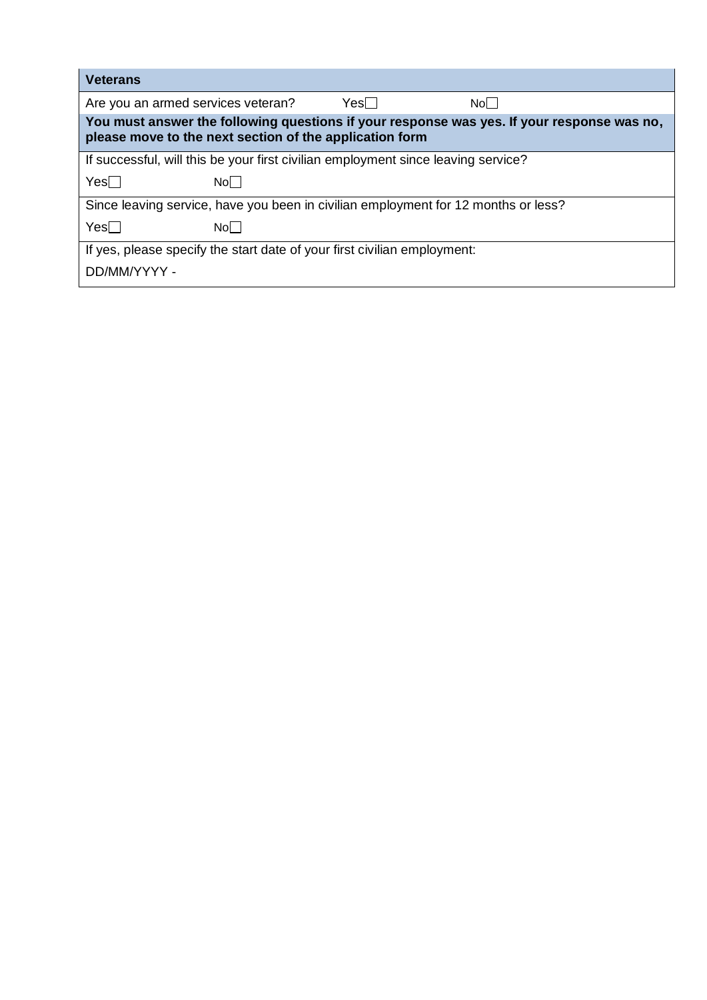| <b>Veterans</b>                                                                                                                                       |       |        |       |  |  |
|-------------------------------------------------------------------------------------------------------------------------------------------------------|-------|--------|-------|--|--|
| Are you an armed services veteran?                                                                                                                    |       | Yesl I | Nol I |  |  |
| You must answer the following questions if your response was yes. If your response was no,<br>please move to the next section of the application form |       |        |       |  |  |
| If successful, will this be your first civilian employment since leaving service?                                                                     |       |        |       |  |  |
| $Yes \Box$                                                                                                                                            | Nol I |        |       |  |  |
| Since leaving service, have you been in civilian employment for 12 months or less?                                                                    |       |        |       |  |  |
| $Yes \Box$                                                                                                                                            | Nol I |        |       |  |  |
| If yes, please specify the start date of your first civilian employment:                                                                              |       |        |       |  |  |
| DD/MM/YYYY -                                                                                                                                          |       |        |       |  |  |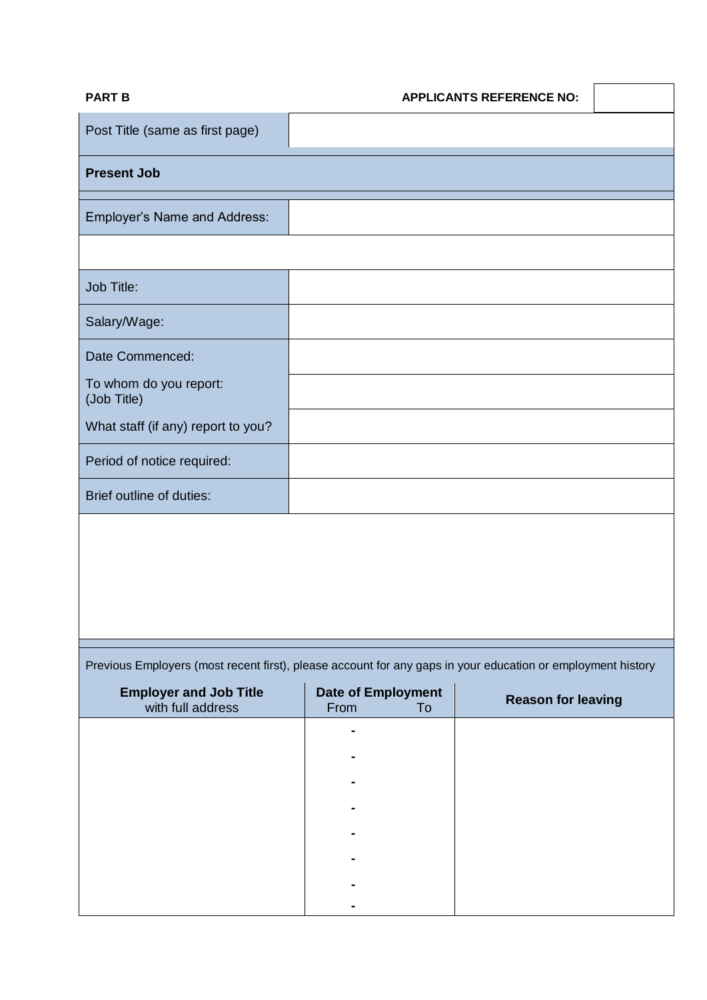| <b>PART B</b>                                                                                               | <b>APPLICANTS REFERENCE NO:</b> |  |  |  |
|-------------------------------------------------------------------------------------------------------------|---------------------------------|--|--|--|
| Post Title (same as first page)                                                                             |                                 |  |  |  |
| <b>Present Job</b>                                                                                          |                                 |  |  |  |
| <b>Employer's Name and Address:</b>                                                                         |                                 |  |  |  |
|                                                                                                             |                                 |  |  |  |
| Job Title:                                                                                                  |                                 |  |  |  |
| Salary/Wage:                                                                                                |                                 |  |  |  |
| Date Commenced:                                                                                             |                                 |  |  |  |
| To whom do you report:<br>(Job Title)                                                                       |                                 |  |  |  |
| What staff (if any) report to you?                                                                          |                                 |  |  |  |
| Period of notice required:                                                                                  |                                 |  |  |  |
| Brief outline of duties:                                                                                    |                                 |  |  |  |
|                                                                                                             |                                 |  |  |  |
|                                                                                                             |                                 |  |  |  |
|                                                                                                             |                                 |  |  |  |
|                                                                                                             |                                 |  |  |  |
| Previous Employers (most recent first), please account for any gaps in your education or employment history |                                 |  |  |  |
| Forelaise and lab Title<br>Data of Feastainsant                                                             |                                 |  |  |  |

| <b>Employer and Job Title</b><br>with full address | <b>Date of Employment</b><br>From | To | <b>Reason for leaving</b> |
|----------------------------------------------------|-----------------------------------|----|---------------------------|
|                                                    | ٠                                 |    |                           |
|                                                    | $\blacksquare$                    |    |                           |
|                                                    | ۰                                 |    |                           |
|                                                    | ٠                                 |    |                           |
|                                                    | ٠                                 |    |                           |
|                                                    | $\blacksquare$                    |    |                           |
|                                                    | $\blacksquare$<br>٠               |    |                           |
|                                                    |                                   |    |                           |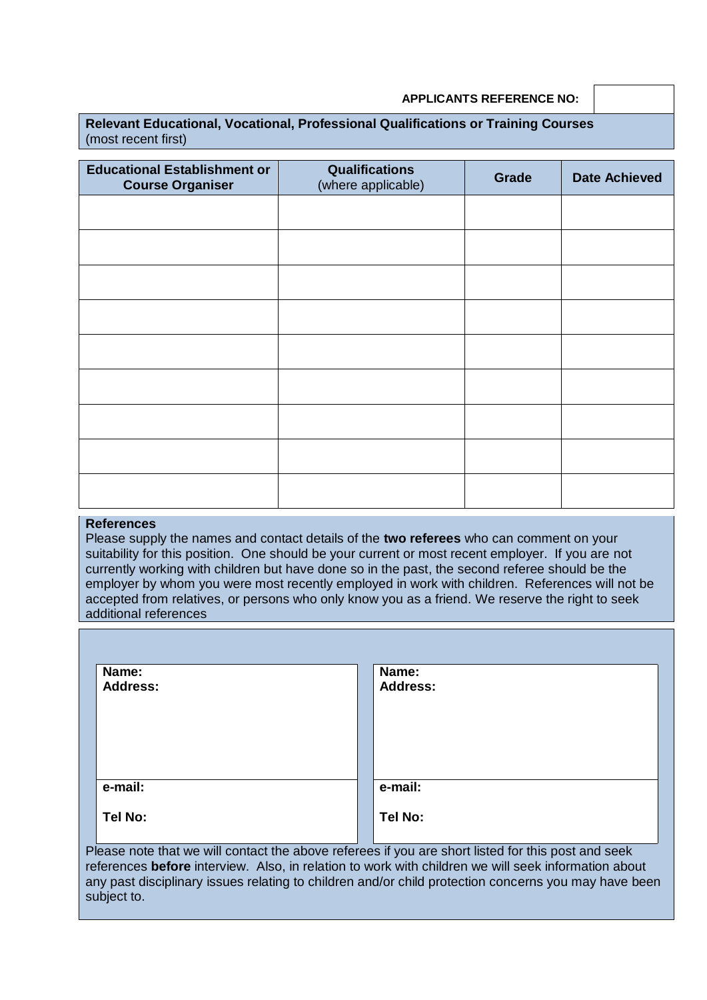#### **APPLICANTS REFERENCE NO:**

| <b>Relevant Educational, Vocational, Professional Qualifications or Training Courses</b> |  |  |  |
|------------------------------------------------------------------------------------------|--|--|--|
| (most recent first)                                                                      |  |  |  |

| <b>Educational Establishment or</b><br><b>Course Organiser</b> | <b>Qualifications</b><br>(where applicable) | Grade | <b>Date Achieved</b> |
|----------------------------------------------------------------|---------------------------------------------|-------|----------------------|
|                                                                |                                             |       |                      |
|                                                                |                                             |       |                      |
|                                                                |                                             |       |                      |
|                                                                |                                             |       |                      |
|                                                                |                                             |       |                      |
|                                                                |                                             |       |                      |
|                                                                |                                             |       |                      |
|                                                                |                                             |       |                      |
|                                                                |                                             |       |                      |

#### **References**

Please supply the names and contact details of the **two referees** who can comment on your suitability for this position. One should be your current or most recent employer. If you are not currently working with children but have done so in the past, the second referee should be the employer by whom you were most recently employed in work with children. References will not be accepted from relatives, or persons who only know you as a friend. We reserve the right to seek additional references

| Name:           | Name:                                                                                              |
|-----------------|----------------------------------------------------------------------------------------------------|
| <b>Address:</b> | <b>Address:</b>                                                                                    |
|                 |                                                                                                    |
|                 |                                                                                                    |
|                 |                                                                                                    |
|                 |                                                                                                    |
|                 |                                                                                                    |
| e-mail:         | e-mail:                                                                                            |
| Tel No:         | Tel No:                                                                                            |
|                 |                                                                                                    |
|                 | Please note that we will contact the above referees if you are short listed for this post and seek |

references **before** interview. Also, in relation to work with children we will seek information about any past disciplinary issues relating to children and/or child protection concerns you may have been subject to.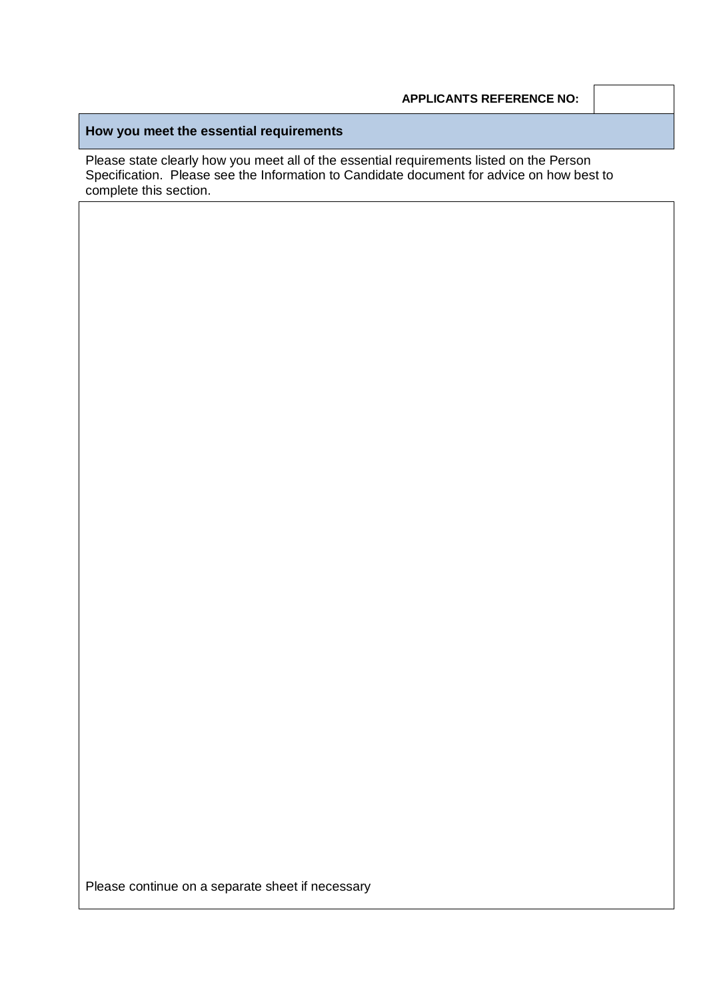# **How you meet the essential requirements**

Please state clearly how you meet all of the essential requirements listed on the Person Specification. Please see the Information to Candidate document for advice on how best to complete this section.

Please continue on a separate sheet if necessary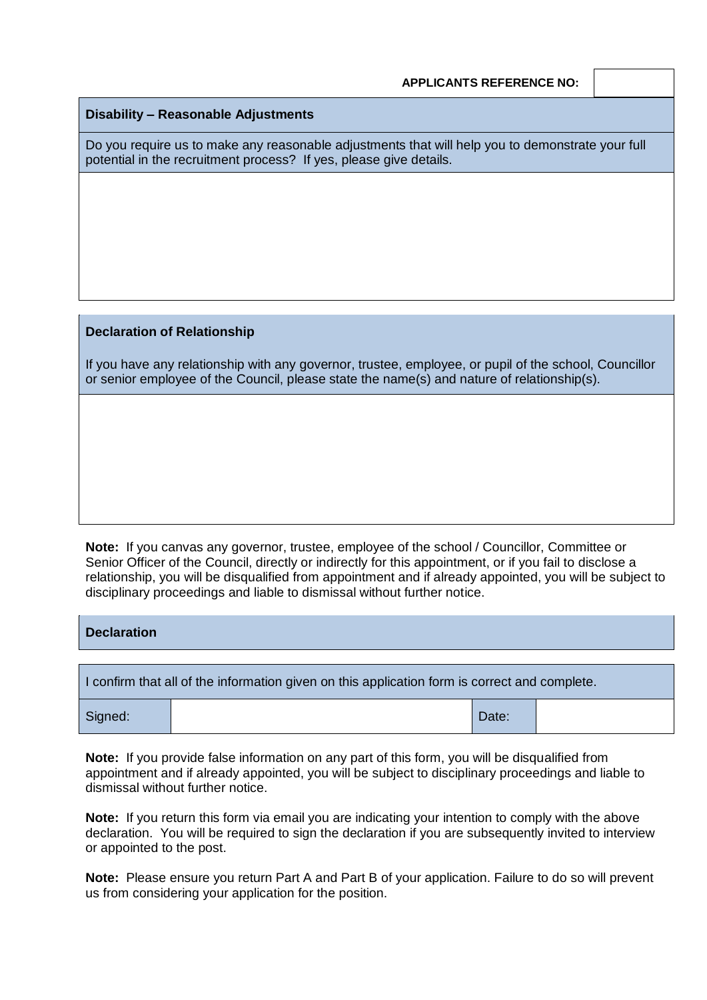# **Disability – Reasonable Adjustments**

Do you require us to make any reasonable adjustments that will help you to demonstrate your full potential in the recruitment process? If yes, please give details.

#### **Declaration of Relationship**

If you have any relationship with any governor, trustee, employee, or pupil of the school, Councillor or senior employee of the Council, please state the name(s) and nature of relationship(s).

**Note:** If you canvas any governor, trustee, employee of the school / Councillor, Committee or Senior Officer of the Council, directly or indirectly for this appointment, or if you fail to disclose a relationship, you will be disqualified from appointment and if already appointed, you will be subject to disciplinary proceedings and liable to dismissal without further notice.

| <b>Declaration</b> |  |
|--------------------|--|
|                    |  |
|                    |  |

| I confirm that all of the information given on this application form is correct and complete. |  |       |  |  |
|-----------------------------------------------------------------------------------------------|--|-------|--|--|
| Signed:                                                                                       |  | Date: |  |  |

**Note:** If you provide false information on any part of this form, you will be disqualified from appointment and if already appointed, you will be subject to disciplinary proceedings and liable to dismissal without further notice.

**Note:** If you return this form via email you are indicating your intention to comply with the above declaration. You will be required to sign the declaration if you are subsequently invited to interview or appointed to the post.

**Note:** Please ensure you return Part A and Part B of your application. Failure to do so will prevent us from considering your application for the position.